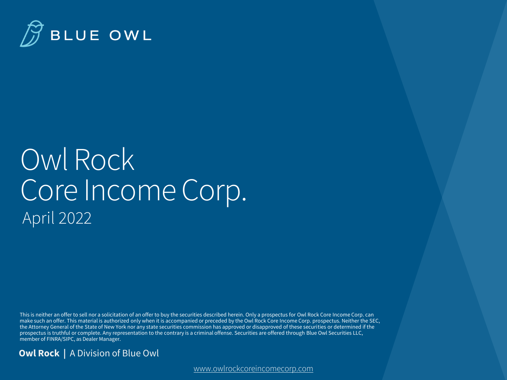

## Owl Rock Core Income Corp. April 2022

This is neither an offer to sell nor a solicitation of an offer to buy the securities described herein. Only a prospectus for Owl Rock Core Income Corp. can make such an offer. This material is authorized only when it is accompanied or preceded by the Owl Rock Core Income Corp. prospectus. Neither the SEC, the Attorney General of the State of New York nor any state securities commission has approved or disapproved of these securities or determined if the prospectus is truthful or complete. Any representation to the contrary is a criminal offense. Securities are offered through Blue Owl Securities LLC, member of FINRA/SIPC, as Dealer Manager.

#### **Owl Rock |** A Division of Blue Owl

[www.owlrockcoreincomecorp.com](http://www.owlrockcoreincomecorp.com/)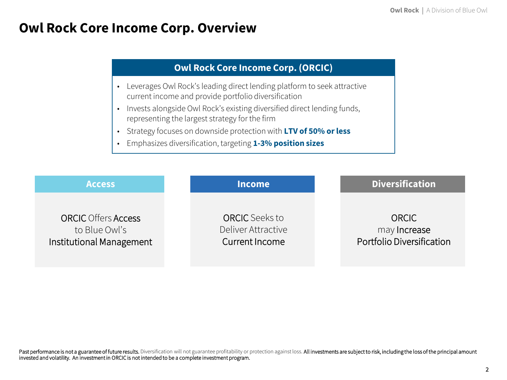### **Owl Rock Core Income Corp. Overview**

#### **Owl Rock Core Income Corp. (ORCIC)**

- Leverages Owl Rock's leading direct lending platform to seek attractive current income and provide portfolio diversification
- Invests alongside Owl Rock's existing diversified direct lending funds, representing the largest strategy for the firm
- Strategy focuses on downside protection with **LTV of 50% or less**
- Emphasizes diversification, targeting **1-3% position sizes**

| <b>Access</b>              | <b>Income</b>         | <b>Diversification</b>    |
|----------------------------|-----------------------|---------------------------|
| <b>ORCIC</b> Offers Access | <b>ORCIC</b> Seeks to | <b>ORCIC</b>              |
| to Blue Owl's              | Deliver Attractive    | may Increase              |
| Institutional Management   | <b>Current Income</b> | Portfolio Diversification |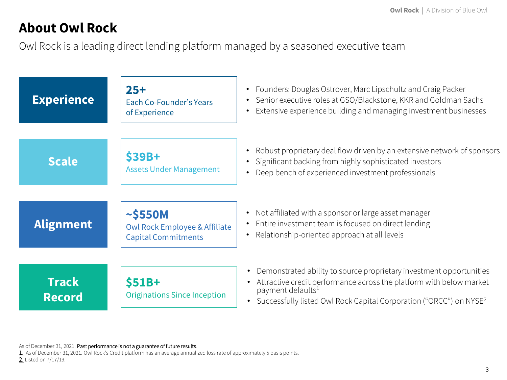### **About Owl Rock**

Owl Rock is a leading direct lending platform managed by a seasoned executive team

| <b>Experience</b>             | $25+$<br>Each Co-Founder's Years<br>of Experience                                       | Founders: Douglas Ostrover, Marc Lipschultz and Craig Packer<br>$\bullet$<br>Senior executive roles at GSO/Blackstone, KKR and Goldman Sachs<br>Extensive experience building and managing investment businesses                                                             |
|-------------------------------|-----------------------------------------------------------------------------------------|------------------------------------------------------------------------------------------------------------------------------------------------------------------------------------------------------------------------------------------------------------------------------|
| <b>Scale</b>                  | <b>\$39B+</b><br><b>Assets Under Management</b>                                         | Robust proprietary deal flow driven by an extensive network of sponsors<br>Significant backing from highly sophisticated investors<br>Deep bench of experienced investment professionals                                                                                     |
| <b>Alignment</b>              | $\sim$ \$550M<br><b>Owl Rock Employee &amp; Affiliate</b><br><b>Capital Commitments</b> | Not affiliated with a sponsor or large asset manager<br>Entire investment team is focused on direct lending<br>Relationship-oriented approach at all levels                                                                                                                  |
| <b>Track</b><br><b>Record</b> | $$51B+$<br><b>Originations Since Inception</b>                                          | Demonstrated ability to source proprietary investment opportunities<br>$\bullet$<br>Attractive credit performance across the platform with below market<br>payment defaults <sup>1</sup><br>• Successfully listed Owl Rock Capital Corporation ("ORCC") on NYSE <sup>2</sup> |

As of December 31, 2021. Past performance is not a guarantee of future results.

1. As of December 31, 2021. Owl Rock's Credit platform has an average annualized loss rate of approximately 5 basis points. 2. Listed on 7/17/19.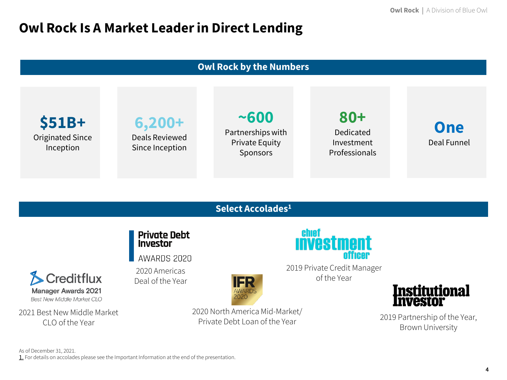### **Owl Rock Is A Market Leader in Direct Lending**

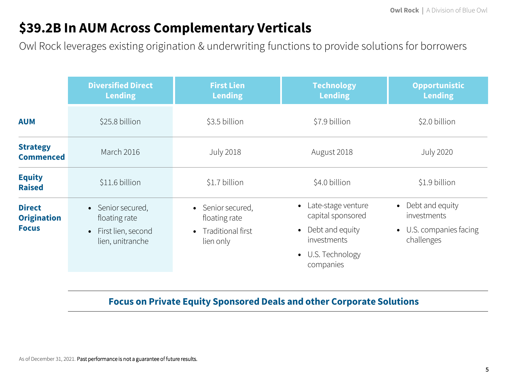### **\$39.2B In AUM Across Complementary Verticals**

Owl Rock leverages existing origination & underwriting functions to provide solutions for borrowers

|                                     | <b>Diversified Direct</b><br><b>Lending</b> | <b>First Lien</b><br><b>Lending</b> | <b>Technology</b><br><b>Lending</b>       | <b>Opportunistic</b><br><b>Lending</b> |  |  |
|-------------------------------------|---------------------------------------------|-------------------------------------|-------------------------------------------|----------------------------------------|--|--|
| <b>AUM</b>                          | \$25.8 billion                              | \$3.5 billion                       | \$7.9 billion                             | \$2.0 billion                          |  |  |
| <b>Strategy</b><br><b>Commenced</b> | March 2016                                  | <b>July 2018</b>                    | August 2018                               | <b>July 2020</b>                       |  |  |
| <b>Equity</b><br><b>Raised</b>      | \$11.6 billion                              | \$1.7 billion                       | \$4.0 billion                             | \$1.9 billion                          |  |  |
| <b>Direct</b><br><b>Origination</b> | • Senior secured,<br>floating rate          | • Senior secured,<br>floating rate  | • Late-stage venture<br>capital sponsored | • Debt and equity<br>investments       |  |  |
| <b>Focus</b>                        | • First lien, second<br>lien, unitranche    | • Traditional first<br>lien only    | • Debt and equity<br>investments          | • U.S. companies facing<br>challenges  |  |  |
|                                     |                                             |                                     | • U.S. Technology<br>companies            |                                        |  |  |

### **Focus on Private Equity Sponsored Deals and other Corporate Solutions**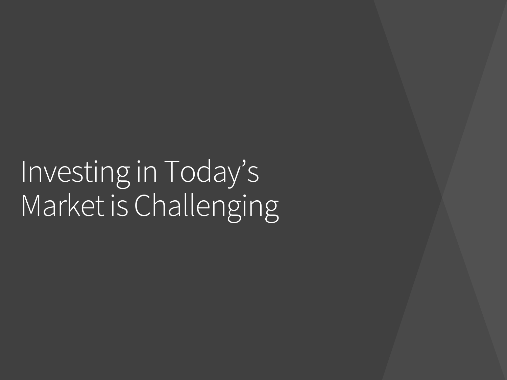# Investing in Today's Market is Challenging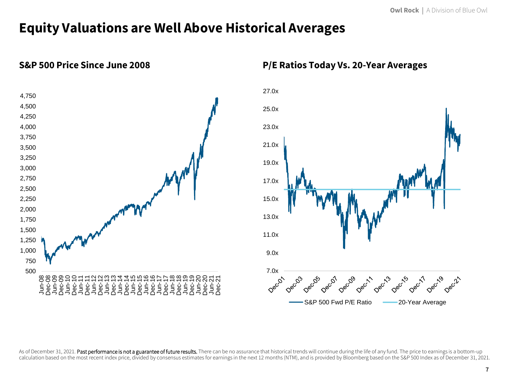### **Equity Valuations are Well Above Historical Averages**



### **S&P 500 Price Since June 2008 P/E Ratios Today Vs. 20-Year Averages**



As of December 31, 2021. Past performance is not a guarantee of future results. There can be no assurance that historical trends will continue during the life of any fund. The price to earnings is a bottom-up calculation based on the most recent index price, divided by consensus estimates for earnings in the next 12 months (NTM), and is provided by Bloomberg based on the S&P 500 Index as of December 31, 2021.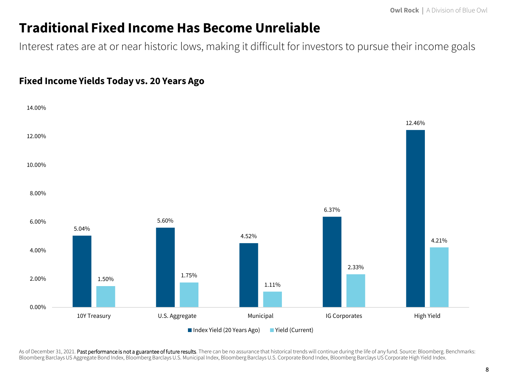### **Traditional Fixed Income Has Become Unreliable**

Interest rates are at or near historic lows, making it difficult for investors to pursue their income goals

#### **Fixed Income Yields Today vs. 20 Years Ago**



As of December 31, 2021. Past performance is not a guarantee of future results. There can be no assurance that historical trends will continue during the life of any fund. Source: Bloomberg. Benchmarks: Bloomberg Barclays US Aggregate Bond Index, Bloomberg Barclays U.S. Municipal Index, Bloomberg Barclays U.S. Corporate Bond Index, Bloomberg Barclays US Corporate High Yield Index.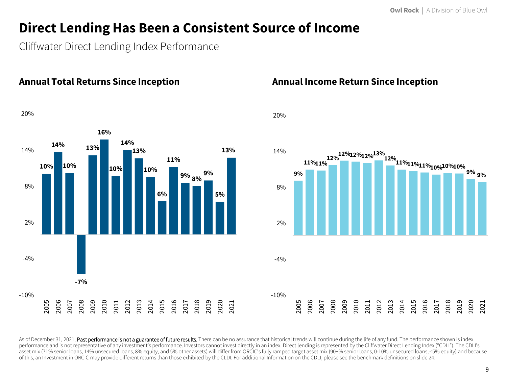### **Direct Lending Has Been a Consistent Source of Income**

Cliffwater Direct Lending Index Performance

**Annual Total Returns Since Inception** 



#### **Annual Income Return Since Inception**



As of December 31, 2021. Past performance is not a guarantee of future results. There can be no assurance that historical trends will continue during the life of any fund. The performance shown is index performance and is not representative of any investment's performance. Investors cannot invest directly in an index. Direct lending is represented by the Cliffwater Direct Lending Index ("CDLI"). The CDLI's asset mix (71% senior loans, 14% unsecured loans, 8% equity, and 5% other assets) will differ from ORCIC's fully ramped target asset mix (90+% senior loans, 0-10% unsecured loans, <5% equity) and because of this, an Investment in ORCIC may provide different returns than those exhibited by the CLDI. For additional Information on the CDLI, please see the benchmark definitions on slide 24.

20%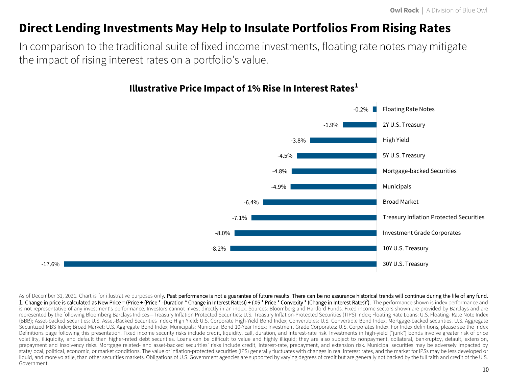### **Direct Lending Investments May Help to Insulate Portfolios From Rising Rates**

In comparison to the traditional suite of fixed income investments, floating rate notes may mitigate the impact of rising interest rates on a portfolio's value.



### **Illustrative Price Impact of 1% Rise In Interest Rates<sup>1</sup>**

As of December 31, 2021. Chart is for illustrative purposes only. Past performance is not a guarantee of future results. There can be no assurance historical trends will continue during the life of any fund. 1. Change in price is calculated as New Price = (Price + (Price \* -Duration \* Change in Interest Rates)) + (.05 \* Price \* Convexity \* (Change in Interest Rates)<sup>2</sup>). The performance shown is index performance and is not representative of any investment's performance. Investors cannot invest directly in an index. Sources: Bloomberg and Hartford Funds. Fixed income sectors shown are provided by Barclays and are represented by the following Bloomberg Barclays Indices—Treasury Inflation Protected Securities: U.S. Treasury Inflation-Protected Securities (TIPS) Index; Floating Rate Loans: U.S. Floating- Rate Note Index (BBB); Asset-backed securities: U.S. Asset-Backed Securities Index; High Yield: U.S. Corporate High-Yield Bond Index; Convertibles: U.S. Convertible Bond Index; Mortgage-backed securities. U.S. Aggregate Securitized MBS Index; Broad Market: U.S. Aggregate Bond Index; Municipals: Municipal Bond 10-Year Index; Investment Grade Corporates: U.S. Corporates Index. For Index definitions, please see the Index here Definitions page following this presentation. Fixed income security risks include credit, liquidity, call, duration, and interest-rate risk. Investments in high-yield ("junk") bonds involve greater risk of price volatility, illiquidity, and default than higher-rated debt securities. Loans can be difficult to value and highly illiquid; they are also subject to nonpayment, collateral, bankruptcy, default, extension, prepayment and insolvency risks. Mortgage related- and asset-backed securities' risks include credit, Interest-rate, prepayment, and extension risk. Municipal securities may be adversely impacted by state/local, political, economic, or market conditions. The value of inflation-protected securities (IPS) generally fluctuates with changes in real interest rates, and the market for IPSs may be less developed or liquid, and more volatile, than other securities markets. Obligations of U.S. Government agencies are supported by varying degrees of credit but are generally not backed by the full faith and credit of the U.S. Government.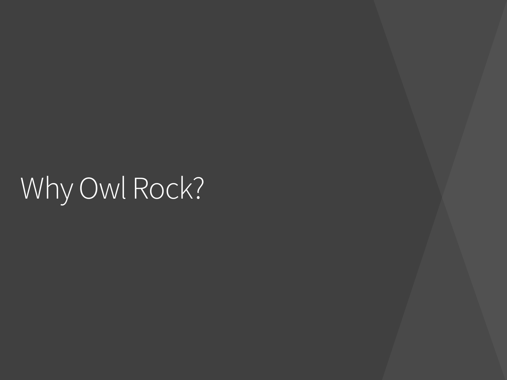# Why Owl Rock?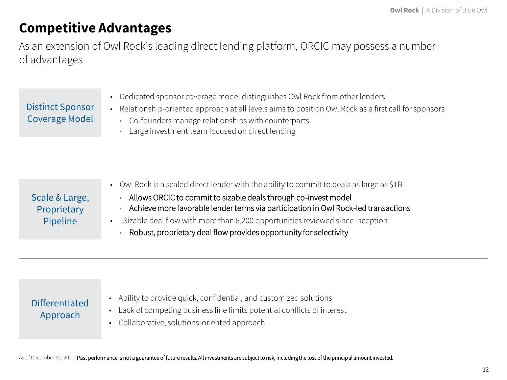### **Competitive Advantages**

As an extension of Owl Rock's leading direct lending platform, ORCIC may possess a number of advantages

|                         | • Dedicated sponsor coverage model distinguishes Owl Rock from other lenders                        |
|-------------------------|-----------------------------------------------------------------------------------------------------|
| <b>Distinct Sponsor</b> | Relationship-oriented approach at all levels aims to position Owl Rock as a first call for sponsors |
| Coverage Model          | • Co-founders manage relationships with counterparts                                                |
|                         | • Large investment team focused on direct lending                                                   |
|                         |                                                                                                     |

|                               | • Owl Rock is a scaled direct lender with the ability to commit to deals as large as \$1B                                                             |
|-------------------------------|-------------------------------------------------------------------------------------------------------------------------------------------------------|
| Scale & Large,<br>Proprietary | Allows ORCIC to commit to sizable deals through co-invest model<br>Achieve more favorable lender terms via participation in Owl Rock-led transactions |
| Pipeline                      | Sizable deal flow with more than 6,200 opportunities reviewed since inception                                                                         |
|                               | Robust, proprietary deal flow provides opportunity for selectivity                                                                                    |

#### Differentiated Approach

- Ability to provide quick, confidential, and customized solutions
- Lack of competing business line limits potential conflicts of interest
- Collaborative, solutions-oriented approach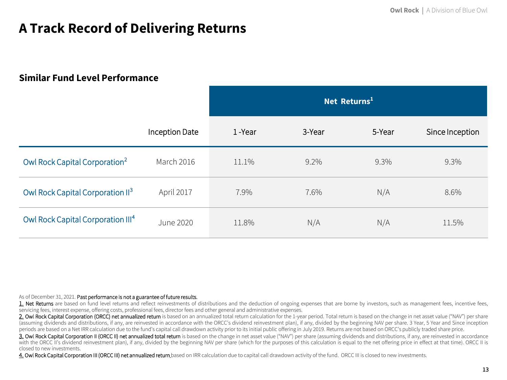### **A Track Record of Delivering Returns**

#### **Similar Fund Level Performance**

|                                               |                | Net Returns <sup>1</sup> |         |         |                 |  |  |  |
|-----------------------------------------------|----------------|--------------------------|---------|---------|-----------------|--|--|--|
|                                               | Inception Date | 1-Year                   | 3-Year  | 5-Year  | Since Inception |  |  |  |
| Owl Rock Capital Corporation <sup>2</sup>     | March 2016     | 11.1%                    | $9.2\%$ | $9.3\%$ | 9.3%            |  |  |  |
| Owl Rock Capital Corporation II <sup>3</sup>  | April 2017     | 7.9%                     | 7.6%    | N/A     | 8.6%            |  |  |  |
| Owl Rock Capital Corporation III <sup>4</sup> | June 2020      | 11.8%                    | N/A     | N/A     | 11.5%           |  |  |  |

As of December 31, 2021. Past performance is not a guarantee of future results.

1. Net Returns are based on fund level returns and reflect reinvestments of distributions and the deduction of ongoing expenses that are borne by investors, such as management fees, incentive fees, servicing fees, interest expense, offering costs, professional fees, director fees and other general and administrative expenses.

2. Owl Rock Capital Corporation (ORCC) net annualized return is based on an annualized total return calculation for the 1-year period. Total return is based on the change in net asset value ("NAV") per share (assuming dividends and distributions, if any, are reinvested in accordance with the ORCC's dividend reinvestment plan), if any, divided by the beginning NAV per share. 3 Year, 5 Year and Since inception periods are based on a Net IRR calculation due to the fund's capital call drawdown activity prior to its initial public offering in July 2019. Returns are not based on ORCC's publicly traded share price.

3. Owl Rock Capital Corporation II (ORCC II) net annualized total return is based on the change in net asset value ("NAV") per share (assuming dividends and distributions, if any, are reinvested in accordance with the ORCC II's dividend reinvestment plan), if any, divided by the beginning NAV per share (which for the purposes of this calculation is equal to the net offering price in effect at that time). ORCC II is closed to new investments.

4. Owl Rock Capital Corporation III (ORCC III) net annualized return based on IRR calculation due to capital call drawdown activity of the fund. ORCC III is closed to new investments.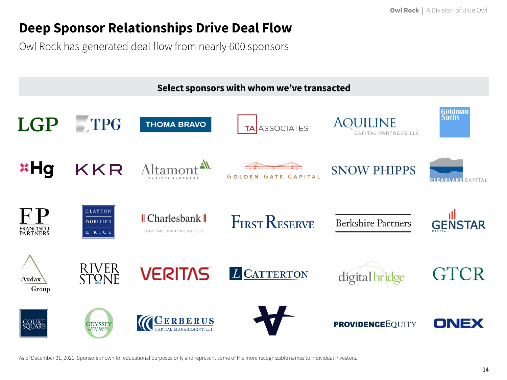### **Deep Sponsor Relationships Drive Deal Flow**

Owl Rock has generated deal flow from nearly 600 sponsors



As of December 31, 2021. Sponsors shown for educational purposes only and represent some of the more recognizable names to individual investors.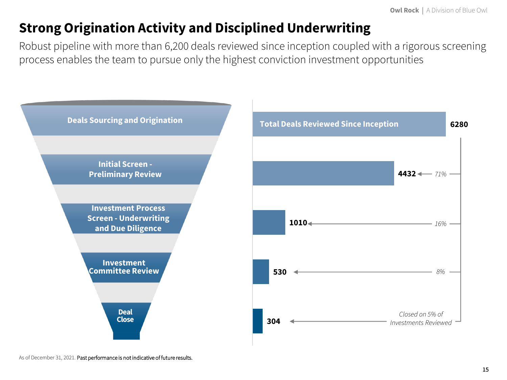### **Strong Origination Activity and Disciplined Underwriting**

Robust pipeline with more than 6,200 deals reviewed since inception coupled with a rigorous screening process enables the team to pursue only the highest conviction investment opportunities

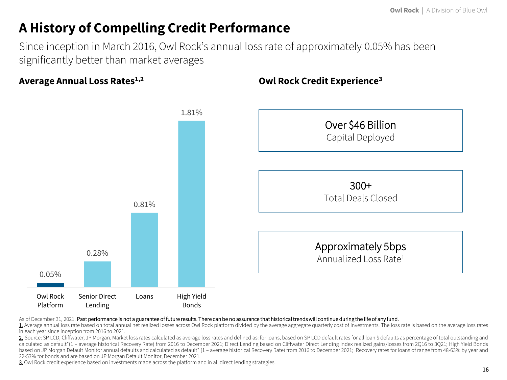### **A History of Compelling Credit Performance**

Since inception in March 2016, Owl Rock's annual loss rate of approximately 0.05% has been significantly better than market averages

**Owl Rock Credit Experience<sup>3</sup>**

**Average Annual Loss Rates1,2**



#### As of December 31, 2021. Past performance is not a guarantee of future results. There can be no assurance that historical trends will continue during the life of any fund.

1. Average annual loss rate based on total annual net realized losses across Owl Rock platform divided by the average aggregate quarterly cost of investments. The loss rate is based on the average loss rates in each year since inception from 2016 to 2021.

2. Source: SP LCD, Cliffwater, JP Morgan. Market loss rates calculated as average loss rates and defined as: for loans, based on SP LCD default rates for all loan \$ defaults as percentage of total outstanding and calculated as default\*(1 - average historical Recovery Rate) from 2016 to December 2021; Direct Lending based on Cliffwater Direct Lending Index realized gains/losses from 2Q16 to 3Q21; High Yield Bonds based on JP Morgan Default Monitor annual defaults and calculated as default\* (1 – average historical Recovery Rate) from 2016 to December 2021; Recovery rates for loans of range from 48-63% by year and 22-53% for bonds and are based on JP Morgan Default Monitor, December 2021.

3. Owl Rock credit experience based on investments made across the platform and in all direct lending strategies.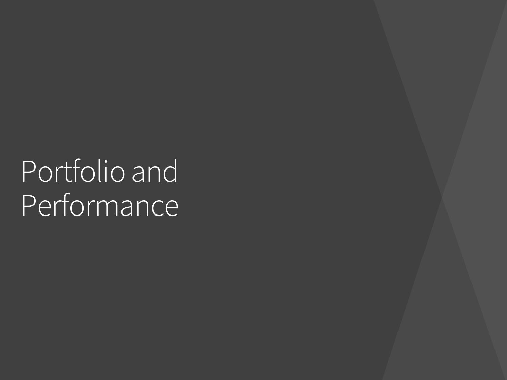## Portfolio and Performance<sup>1</sup>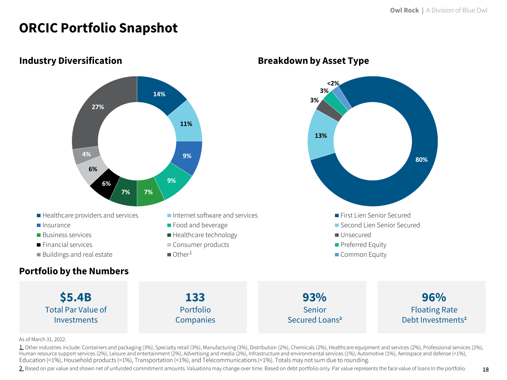### **ORCIC Portfolio Snapshot**



#### **Industry Diversification**

#### As of March 31, 2022.

1. Other industries include: Containers and packaging (3%), Specialty retail (3%), Manufacturing (3%), Distribution (2%), Chemicals (2%), Healthcare equipment and services (2%), Professional services (2%), Human resource support services (2%), Leisure and entertainment (2%), Advertising and media (2%), Infrastructure and environmental services (1%), Automotive (1%), Aerospace and defense (<1%), Education (<1%), Household products (<1%), Transportation (<1%), and Telecommunications (<1%). Totals may not sum due to rounding.

2. Based on par value and shown net of unfunded commitment amounts. Valuations may change over time. Based on debt portfolio only. Par value represents the face value of loans In the portfolio.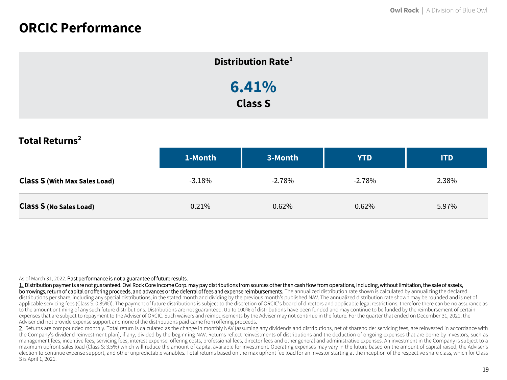### **ORCIC Performance**

| Distribution Rate <sup>1</sup> |  |
|--------------------------------|--|
| 6.41%                          |  |
| <b>Class S</b>                 |  |

**Total Returns<sup>2</sup>**

|                                      | 1-Month   | 3-Month  | <b>YTD</b> | <b>ITD</b> |
|--------------------------------------|-----------|----------|------------|------------|
| <b>Class S (With Max Sales Load)</b> | $-3.18\%$ | $-2.78%$ | $-2.78%$   | 2.38%      |
| <b>Class S (No Sales Load)</b>       | 0.21%     | 0.62%    | 0.62%      | 5.97%      |

#### As of March 31, 2022. Past performance is not a guarantee of future results.

1. Distribution payments are not guaranteed. Owl Rock Core Income Corp. may pay distributions from sources other than cash flow from operations, including, without limitation, the sale of assets, borrowings, return of capital or offering proceeds, and advances or the deferral of fees and expense reimbursements. The annualized distribution rate shown is calculated by annualizing the declared distributions per share, including any special distributions, in the stated month and dividing by the previous month's published NAV. The annualized distribution rate shown may be rounded and is net of applicable servicing fees (Class S: 0.85%)). The payment of future distributions is subject to the discretion of ORCIC's board of directors and applicable legal restrictions, therefore there can be no assurance as to the amount or timing of any such future distributions. Distributions are not guaranteed. Up to 100% of distributions have been funded and may continue to be funded by the reimbursement of certain expenses that are subject to repayment to the Adviser of ORCIC. Such waivers and reimbursements by the Adviser may not continue in the future. For the quarter that ended on December 31, 2021, the Adviser did not provide expense support and none of the distributions paid came from offering proceeds.

2. Returns are compounded monthly. Total return is calculated as the change in monthly NAV (assuming any dividends and distributions, net of shareholder servicing fees, are reinvested in accordance with the Company's dividend reinvestment plan), if any, divided by the beginning NAV. Returns reflect reinvestments of distributions and the deduction of ongoing expenses that are borne by investors, such as management fees, incentive fees, servicing fees, interest expense, offering costs, professional fees, director fees and other general and administrative expenses. An investment in the Company is subject to a maximum upfront sales load (Class S: 3.5%) which will reduce the amount of capital available for investment. Operating expenses may vary in the future based on the amount of capital raised, the Adviser's election to continue expense support, and other unpredictable variables. Total returns based on the max upfront fee load for an investor starting at the inception of the respective share class, which for Class S is April 1, 2021.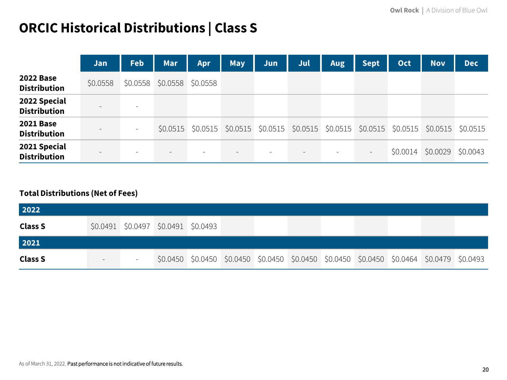## **ORCIC Historical Distributions | Class S**

|                                         | Jan                      | <b>Feb</b>               | Mar      | Apr                 | <b>May</b> | Jun                                                                   | Jul                      | Aug | <b>Sept</b>              | <b>Oct</b> | <b>Nov</b> | <b>Dec</b> |
|-----------------------------------------|--------------------------|--------------------------|----------|---------------------|------------|-----------------------------------------------------------------------|--------------------------|-----|--------------------------|------------|------------|------------|
| <b>2022 Base</b><br><b>Distribution</b> | \$0.0558                 | \$0.0558                 | \$0.0558 | \$0.0558            |            |                                                                       |                          |     |                          |            |            |            |
| 2022 Special<br><b>Distribution</b>     | $\overline{\phantom{0}}$ | $\overline{\phantom{a}}$ |          |                     |            |                                                                       |                          |     |                          |            |            |            |
| <b>2021 Base</b><br><b>Distribution</b> | $\sim$                   |                          |          | $$0.0515$ $$0.0515$ |            | $$0.0515$ $$0.0515$ $$0.0515$ $$0.0515$ $$0.0515$ $$0.0515$ $$0.0515$ |                          |     |                          |            |            | \$0.0515   |
| 2021 Special<br><b>Distribution</b>     | $\sim$                   |                          | $-$      |                     |            |                                                                       | $\overline{\phantom{a}}$ |     | $\overline{\phantom{a}}$ | \$0.0014   | \$0.0029   | \$0.0043   |

#### **Total Distributions (Net of Fees)**

| 2022           |                                     |  |                                                                                           |  |  |  |
|----------------|-------------------------------------|--|-------------------------------------------------------------------------------------------|--|--|--|
| <b>Class S</b> | \$0.0491 \$0.0497 \$0.0491 \$0.0493 |  |                                                                                           |  |  |  |
| 2021           |                                     |  |                                                                                           |  |  |  |
| <b>Class S</b> |                                     |  | \$0.0450 \$0.0450 \$0.0450 \$0.0450 \$0.0450 \$0.0450 \$0.0450 \$0.0464 \$0.0479 \$0.0493 |  |  |  |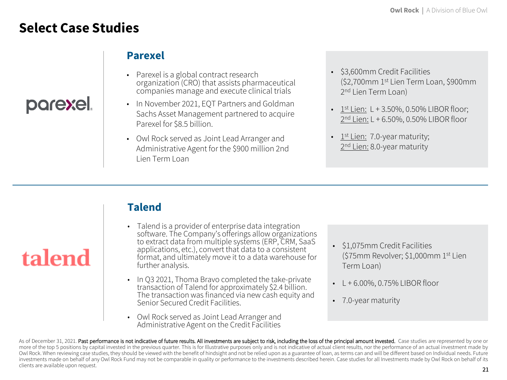### **Select Case Studies**

parexel.

talend

### **Parexel**

- Parexel is a global contract research organization (CRO) that assists pharmaceutical companies manage and execute clinical trials
- In November 2021, EQT Partners and Goldman Sachs Asset Management partnered to acquire Parexel for \$8.5 billion.
- Owl Rock served as Joint Lead Arranger and Administrative Agent for the \$900 million 2nd Lien Term Loan
- \$3,600mm Credit Facilities (\$2,700mm 1st Lien Term Loan, \$900mm 2<sup>nd</sup> Lien Term Loan)
- $\frac{1^{\text{st}} \text{Lien:}}{1^{\text{st}} \text{Lien:}}$  L + 3.50%, 0.50% LIBOR floor; 2<u>nd Lien:</u> L + 6.50%, 0.50% LIBOR floor
- $\cdot$  1<sup>st</sup> Lien: 7.0-year maturity; 2<sup>nd</sup> Lien: 8.0-year maturity

### **Talend**

- Talend is a provider of enterprise data integration software. The Company's offerings allow organizations to extract data from multiple systems (ERP, CRM, SaaS applications, etc.), convert that data to a consistent format, and ultimately move it to a data warehouse for further analysis.
- In Q3 2021, Thoma Bravo completed the take-private transaction of Talend for approximately \$2.4 billion. The transaction was financed via new cash equity and Senior Secured Credit Facilities.
- Owl Rock served as Joint Lead Arranger and Administrative Agent on the Credit Facilities
- \$1,075mm Credit Facilities (\$75mm Revolver; \$1,000mm 1st Lien Term Loan)
- $\cdot$  L + 6.00%, 0.75% LIBOR floor
- 7.0-year maturity

21 As of December 31, 2021. Past performance is not indicative of future results. All investments are subject to risk, including the loss of the principal amount invested. Case studies are represented by one or more of the top 5 positions by capital invested in the previous quarter. This is for Illustrative purposes only and is not indicative of actual client results, nor the performance of an actual investment made by Owl Rock. When reviewing case studies, they should be viewed with the benefit of hindsight and not be relied upon as a guarantee of loan, as terms can and will be different based on Individual needs. Future investments made on behalf of any Owl Rock Fund may not be comparable in quality or performance to the investments described herein. Case studies for all Investments made by Owl Rock on behalf of its clients are available upon request.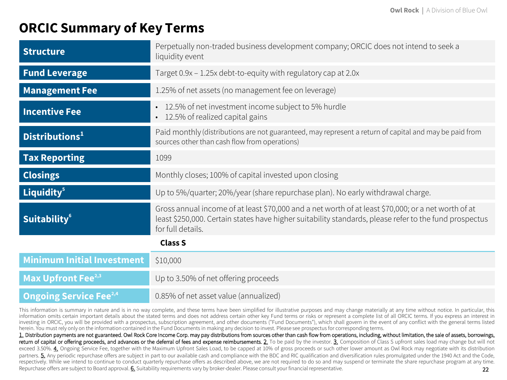### **ORCIC Summary of Key Terms**

| <b>Structure</b>                          | Perpetually non-traded business development company; ORCIC does not intend to seek a<br>liquidity event                                                                                                                            |
|-------------------------------------------|------------------------------------------------------------------------------------------------------------------------------------------------------------------------------------------------------------------------------------|
| <b>Fund Leverage</b>                      | Target 0.9x - 1.25x debt-to-equity with regulatory cap at 2.0x                                                                                                                                                                     |
| <b>Management Fee</b>                     | 1.25% of net assets (no management fee on leverage)                                                                                                                                                                                |
| <b>Incentive Fee</b>                      | 12.5% of net investment income subject to 5% hurdle<br>$\bullet$<br>• 12.5% of realized capital gains                                                                                                                              |
| Distributions <sup>1</sup>                | Paid monthly (distributions are not guaranteed, may represent a return of capital and may be paid from<br>sources other than cash flow from operations)                                                                            |
| <b>Tax Reporting</b>                      | 1099                                                                                                                                                                                                                               |
| <b>Closings</b>                           | Monthly closes; 100% of capital invested upon closing                                                                                                                                                                              |
| Liquidity <sup>5</sup>                    | Up to 5%/quarter; 20%/year (share repurchase plan). No early withdrawal charge.                                                                                                                                                    |
| <b>Suitability<sup>6</sup></b>            | Gross annual income of at least \$70,000 and a net worth of at least \$70,000; or a net worth of at<br>least \$250,000. Certain states have higher suitability standards, please refer to the fund prospectus<br>for full details. |
|                                           | <b>Class S</b>                                                                                                                                                                                                                     |
| <b>Minimum Initial Investment</b>         | \$10,000                                                                                                                                                                                                                           |
| Max Upfront Fee <sup>2,3</sup>            | Up to 3.50% of net offering proceeds                                                                                                                                                                                               |
| <b>Ongoing Service Fee</b> <sup>2,4</sup> | 0.85% of net asset value (annualized)                                                                                                                                                                                              |

This information is summary in nature and is in no way complete, and these terms have been simplified for illustrative purposes and may change materially at any time without notice. In particular, this information omits certain important details about the stated terms and does not address certain other key Fund terms or risks or represent a complete list of all ORCIC terms. If you express an interest in investing in ORCIC, you will be provided with a prospectus, subscription agreement, and other documents ("Fund Documents"), which shall govern in the event of any conflict with the general terms listed herein. You must rely only on the information contained in the Fund Documents in making any decision to invest. Please see prospectus for corresponding terms.

22 1. Distribution payments are not guaranteed. Owl Rock Core Income Corp. may pay distributions from sources other than cash flow from operations, including, without limitation, the sale of assets, borrowings, return of capital or offering proceeds, and advances or the deferral of fees and expense reimbursements. 2. To be paid by the investor. 3. Composition of Class S upfront sales load may change but will not exceed 3.50%. 4. Ongoing Service Fee, together with the Maximum Upfront Sales Load, to be capped at 10% of gross proceeds or such other lower amount as Owl Rock may negotiate with its distribution partners. 5. Any periodic repurchase offers are subject in part to our available cash and compliance with the BDC and RIC qualification and diversification rules promulgated under the 1940 Act and the Code, respectively. While we intend to continue to conduct quarterly repurchase offers as described above, we are not required to do so and may suspend or terminate the share repurchase program at any time. Repurchase offers are subject to Board approval. 6. Suitability requirements vary by broker-dealer. Please consult your financial representative.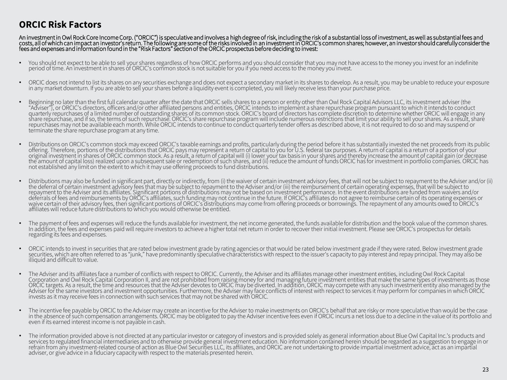### **ORCIC Risk Factors**

An investment in Owl Rock Core Income Corp. ("ORCIC") is speculative and involves a high degree of risk, including the risk of a substantial loss of investment, as well as substantial fees and costs, all of which can impact an investor's return. The following are some of the risks involved in an investment in ORCIC's common shares; however, an investor should carefully consider the fees and expenses and information found in the "Risk Factors" section of the ORCIC prospectus before deciding to invest:

- You should not expect to be able to sell your shares regardless of how ORCIC performs and you should consider that you may not have access to the money you invest for an indefinite period of time. An investment in shares of ORCIC's common stock is not suitable for you if you need access to the money you invest.
- ORCIC does not intend to list its shares on any securities exchange and does not expect a secondary market in its shares to develop. As a result, you may be unable to reduce your exposure in any market downturn. If you are able to sell your shares before a liquidity event is completed, you will likely receive less than your purchase price.
- Beginning no later than the first full calendar quarter after the date that ORCIC sells shares to a person or entity other than Owl Rock Capital Advisors LLC, its investment adviser (the "Adviser"), or ORCIC's directors, officers and/or other affiliated persons and entities, ORCIC intends to implement a share repurchase program pursuant to which it intends to conduct quarterly repurchases of a limited number of outstanding shares of its common stock. ORCIC's board of directors has complete discretion to determine whether ORCIC will engage in any share repurchase, and if so, the terms of such repurchase. ORCIC's share repurchase program will include numerous restrictions that limit your ability to sell your shares. As a result, share<br>repurchases may not be availabl terminate the share repurchase program at any time.
- Distributions on ORCIC's common stock may exceed ORCIC's taxable earnings and profits, particularly during the period before it has substantially invested the net proceeds from its public<br>offering. Therefore, portions of t original investment in shares of ORCIC common stock. As a result, a return of capital will (i) lower your tax basis in your shares and thereby increase the amount of capital gain (or decrease the amount of capital loss) realized upon a subsequent sale or redemption of such shares, and (ii) reduce the amount of fundsORCIC has for investment in portfolio companies. ORCIC has not established any limit on the extent to which it may use offering proceeds to fund distributions.
- Distributions may also be funded in significant part, directly or indirectly, from (i) the waiver of certain investment advisory fees, that will not be subject to repayment to the Adviser and/or (ii) the deferral of certain investment advisory fees that may be subject to repayment to the Adviser and/or (iii) the reimbursement of certain operating expenses, that will be subject to read to subject to read to make a subje deferrals of fees and reimbursements by ORCIC's affiliates, such funding may not continue in the future. If ORCIC's affiliates do not agree to reimburse certain of its operating expenses or waive certain of their advisory fees, then significant portions of ORCIC's distributions may come from offering proceeds or borrowings. The repayment of any amounts owed to ORCIC's affiliates will reduce future distributions to which you would otherwise be entitled.
- The payment of fees and expenses will reduce the funds available for investment, the net income generated, the funds available for distribution and the book value of the common shares. In addition, the fees and expenses paid will require investors to achieve a higher total net return in order to recover their initial investment. Please see ORCIC's prospectus for details regarding its fees and expenses.
- ORCIC intends to invest in securities that are rated below investment grade by rating agencies or that would be rated below investment grade if they were rated. Below investment grade securities, which are often referred to as "junk," have predominantly speculative characteristics with respect to the issuer's capacity to pay interest and repay principal. They may also be illiquid and difficult to value.
- The Adviser and its affiliates face a number of conflicts with respect to ORCIC. Currently, the Adviser and its affiliates manage other investment entities, including Owl Rock Capital Corporation and Owl Rock Capital Corporation II, and are not prohibited from raising money for and managing future investment entities that make the same types of investments as those ORCIC targets. As a result, the time and resources that the Adviser devotes to ORCIC may be diverted. In addition, ORCIC may compete with any such investment entity also managed by the Adviser for the same investors and investment opportunities. Furthermore, the Adviser may face conflicts of interest with respect to services it may perform for companies in which ORCIC invests as it may receive fees in connection with such services that may not be shared with ORCIC.
- The incentive fee payable by ORCIC to the Adviser may create an incentive for the Adviser to make investments on ORCIC's behalf that are risky or more speculative than would be the case in the absence of such compensation arrangements. ORCIC may be obligated to pay the Adviser incentive fees even if ORCIC incurs a net loss due to a decline in the value of its portfolio and even if its earned interest income is not payable in cash.
- The information provided above is not directed at any particular investor or category of investors and is provided solely as general information about Blue Owl Capital Inc.'s products and services to regulated financial intermediaries and to otherwise provide general investment education. No information contained herein should be regarded as a suggestion to engage in or refrain from any investment-related course of action as Blue Owl Securities LLC, its affiliates, and ORCIC are not undertaking to provide impartial investment advice, act as an impartial adviser, or give advice in a fiduciary capacity with respect to the materials presented herein.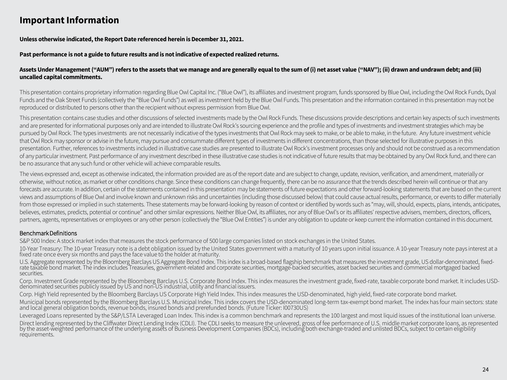### **Important Information**

**Unless otherwise indicated, the Report Date referenced herein is December 31, 2021.**

#### **Past performance is not a guide to future results and is not indicative of expected realized returns.**

#### **Assets Under Management ("AUM") refers to the assets that we manage and are generally equal to the sum of (i) net asset value ("NAV"); (ii) drawn and undrawn debt; and (iii) uncalled capital commitments.**

This presentation contains proprietary information regarding Blue Owl Capital Inc. ("Blue Owl"), its affiliates and investment program, funds sponsored by Blue Owl, including the Owl Rock Funds, Dyal Funds and the Oak Street Funds (collectively the "Blue Owl Funds") as well as investment held by the Blue Owl Funds. This presentation and the information contained in this presentation may not be reproduced or distributed to persons other than the recipient without express permission from Blue Owl.

This presentation contains case studies and other discussions of selected investments made by the Owl Rock Funds. These discussions provide descriptions and certain key aspects of such investments and are presented for informational purposes only and are intended to illustrate Owl Rock's sourcing experience and the profile and types of investments and investment strategies which may be pursued by Owl Rock. The types investments are not necessarily indicative of the types investments that Owl Rock may seek to make, or be able to make, in the future. Any future investment vehicle that Owl Rock may sponsor or advise in the future, may pursue and consummate different types of investments in different concentrations, than those selected for illustrative purposes in this presentation. Further, references to investments included in illustrative case studies are presented to illustrate Owl Rock's investment processes only and should not be construed as a recommendation of any particular investment. Past performance of any investment described in these illustrative case studies is not indicative of future results that may be obtained by any Owl Rock fund, and there can be no assurance that any such fund or other vehicle will achieve comparable results.

The views expressed and, except as otherwise indicated, the information provided are as of the report date and are subject to change, update, revision, verification, and amendment, materially or otherwise, without notice, as market or other conditions change. Since these conditions can change frequently, there can be no assurance that the trends described herein will continue or that any forecasts are accurate. In addition, certain of the statements contained in this presentation may be statements of future expectations and other forward-looking statements that are based on the current views and assumptions of Blue Owl and involve known and unknown risks and uncertainties (including those discussed below) that could cause actual results, performance, or events to differ materially from those expressed or implied in such statements. These statements may be forward-looking by reason of context or identified by words such as "may, will, should, expects, plans, intends, anticipates, believes, estimates, predicts, potential or continue" and other similar expressions. Neither Blue Owl, its affiliates, nor any of Blue Owl's or its affiliates' respective advisers, members, directors, officers, partners, agents, representatives or employees or any other person (collectively the "Blue Owl Entities") is under any obligation to update or keep current the information contained in this document.

#### Benchmark Definitions

S&P 500 Index: A stock market index that measures the stock performance of 500 large companies listed on stock exchanges in the United States.

10-Year Treasury: The 10-year Treasury note is a debt obligation issued by the United States government with a maturity of 10 years upon initial issuance. A 10-year Treasury note pays interest at a fixed rate once every six months and pays the face value to the holder at maturity.

U.S. Aggregate represented by the Bloomberg Barclays US Aggregate Bond Index. This index is a broad-based flagship benchmark that measures the investment grade, US dollar-denominated, fixedrate taxable bond market. The index includes Treasuries, government-related and corporate securities, mortgage-backed securities, asset backed securities and commercial mortgaged backed securities.

Corp. Investment Grade represented by the Bloomberg Barclays U.S. Corporate Bond Index. This index measures the investment grade, fixed-rate, taxable corporate bond market. It includes USDden'ominated securities publicly issued by US and non-US industrial, utility and financial issuers.

Corp. High Yield represented by the Bloomberg Barclays US Corporate High Yield Index. This index measures the USD-denominated, high yield, fixed-rate corporate bond market. Municipal bonds represented by the Bloomberg Barclays U.S. Municipal Index. This index covers the USD-denominated long-term tax-exempt bond market. The index has four main sectors: state and local general obligation bonds, revenue bonds, insured bonds and prerefunded bonds. (Future Ticker: I00730US)

Leveraged Loans represented by the S&P/LSTA Leveraged Loan Index. This index is a common benchmark and represents the 100 largest and most liquid issues of the institutional loan universe. Direct lending represented by the Cliffwater Direct Lending Index (CDLI). The CDLI seeks to measure the unlevered, gross of fee performance of U.S. middle market corporate loans, as represented by the asset-weighted performance of the underlying assets of Business Development Companies (BDCs), including both exchange-traded and unlisted BDCs, subject to certain eligibility requirements.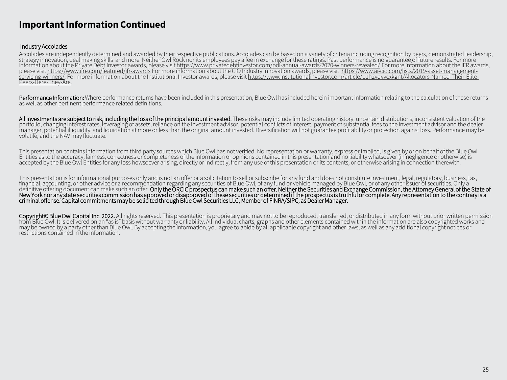#### **Important Information Continued**

#### Industry Accolades

Accolades are independently determined and awarded by their respective publications. Accolades can be based on a variety of criteria including recognition by peers, demonstrated leadership, strategy innovation, deal making skills and more. Neither Owl Rock nor its employees pay a fee in exchange for these ratings. Past performance is no guarantee of future results. For more information about the Private Debt Investor awards, please visit <u><https://www.privatedebtinvestor.com/pdi-annual-awards-2020-winners-revealed/></u> For more information about the IFR awards, please visit<https://www.ifre.com/featured/ifr-awards> For more information about the CIO Industry Innovation awards, please visit https://www.ai-cio.com/lists/2019-asset-management[servicing-winners/. For more information about the Institutional Investor awards, please visit https://www.institutionalinvestor.com/article/b1h2vqyvcxkgnt/Allocators-Named-Their-Elite](https://www.ai-cio.com/lists/2019-asset-management-servicing-winners/)[-](https://www.institutionalinvestor.com/article/b1h2vqyvcxkgnt/Allocators-Named-Their-Elite-Peers-Here-They-Are)Peers-Here-They-Are.

Performance Information: Where performance returns have been included in this presentation, Blue Owl has included herein important information relating to the calculation of these returns as well as other pertinent performance related definitions.

All investments are subject to risk, including the loss of the principal amount invested. These risks may include limited operating history, uncertain distributions, inconsistent valuation of the portfolio, changing interest rates, leveraging of assets, reliance on the investment advisor, potential conflicts of interest, payment of substantial fees to the investment advisor and the dealer manager, potential illiquidity, and liquidation at more or less than the original amount invested. Diversification will not guarantee profitability or protection against loss. Performance may be volatile, and the NAV may fluctuate.

This presentation contains information from third party sources which Blue Owl has not verified. No representation or warranty, express or implied, is given by or on behalf of the Blue Owl Entities as to the accuracy, fairness, correctness or completeness of the information or opinions contained in this presentation and no liability whatsoever (in negligence or otherwise) is accepted by the Blue Owl Entities for any loss howsoever arising, directly or indirectly, from any use of this presentation or its contents, or otherwise arising in connection therewith.

This presentation is for informational purposes only and is not an offer or a solicitation to sell or subscribe for any fund and does not constitute investment, legal, regulatory, business, tax, financial, accounting, or other advice or a recommendation regarding any securities of Blue Owl, of any fund or vehicle managed by Blue Owl, or of any other issuer of securities. Only a definitive offering document can make such an offer. Only the ORCIC prospectus can make such an offer. Neither the Securities and Exchange Commission, the Attorney General of the State of New York nor any state securities commission has approved or disapproved of these securities or determined if the prospectus is truthful or complete. Any representation to the contrary is a criminal offense. Capital commitments may be solicited through Blue Owl Securities LLC, Member of FINRA/SIPC, as Dealer Manager.

Copyright© Blue Owl Capital Inc. 2022. All rights reserved. This presentation is proprietary and may not to be reproduced, transferred, or distributed in any form without prior written permission from Blue Owl. It is delivered on an "as is" basis without warranty or liability. All individual charts, graphs and other elements contained within the information are also copyrighted works and may be owned by a party other than Blue Owl. By accepting the information, you agree to abide by all applicable copyright and other laws, as well as any additional copyright notices or restrictions contained in the information.